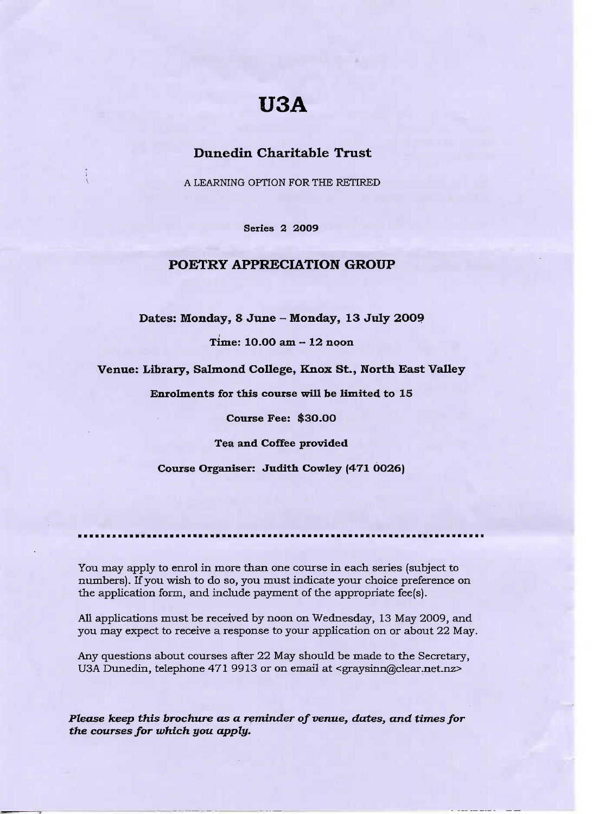# **USA**

## **Dunedin Charitable Trust**

A LEARNING OPTION FOR THE RETIRED

**Series 2 2009**

# **POETRY APPRECIATION GROUP**

**Dates: Monday, 8 June - Monday, 13 July 20O9**

**Time: 10.00 am - 12 noon**

**Venue: Library, Salmond College, Knox St., North East Valley**

**Enrolments for this course will be limited to 15**

**Course Fee: \$30.00**

**Tea and Coffee provided**

**Course Organiser: Judith Cowley (471 0026)**

You may apply to enrol in more than one course in each series (subject to numbers). If you wish to do so, you must indicate your choice preference on the application form, and include payment of the appropriate fee(s).

All applications must be received by noon on Wednesday, 13 May 2009, and you may expect to receive a response to your application on or about 22 May.

Any questions about courses after 22 May should be made to the Secretary, U3A Dunedin, telephone 471 9913 or on email at <graysinn@clear.net.nz>

*Please keep this brochure as* **a** *reminder of venue, dates, and times for the courses for which you apply.*